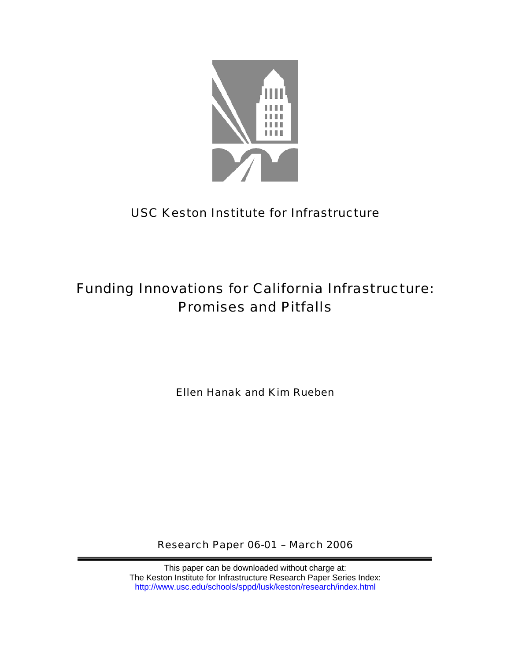

# USC Keston Institute for Infrastructure

# Funding Innovations for California Infrastructure: Promises and Pitfalls

Ellen Hanak and Kim Rueben

Research Paper 06-01 – March 2006

This paper can be downloaded without charge at: The Keston Institute for Infrastructure Research Paper Series Index: http://www.usc.edu/schools/sppd/lusk/keston/research/index.html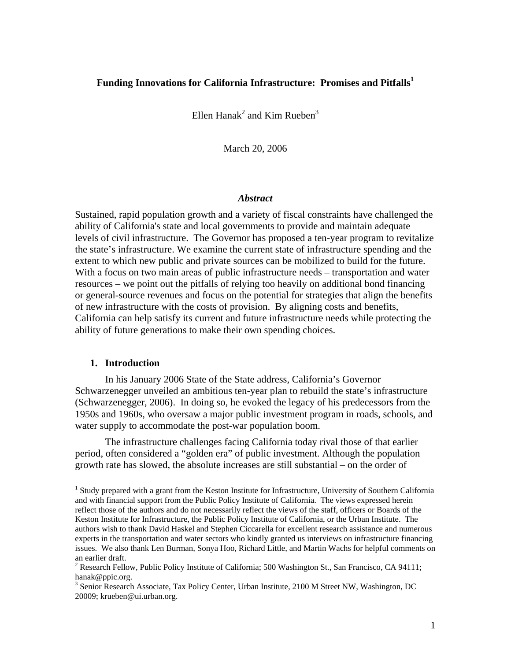# **Funding Innovations for California Infrastructure: Promises and Pitfalls1**

Ellen Hanak<sup>2</sup> and Kim Rueben<sup>3</sup>

March 20, 2006

#### *Abstract*

Sustained, rapid population growth and a variety of fiscal constraints have challenged the ability of California's state and local governments to provide and maintain adequate levels of civil infrastructure. The Governor has proposed a ten-year program to revitalize the state's infrastructure. We examine the current state of infrastructure spending and the extent to which new public and private sources can be mobilized to build for the future. With a focus on two main areas of public infrastructure needs – transportation and water resources – we point out the pitfalls of relying too heavily on additional bond financing or general-source revenues and focus on the potential for strategies that align the benefits of new infrastructure with the costs of provision. By aligning costs and benefits, California can help satisfy its current and future infrastructure needs while protecting the ability of future generations to make their own spending choices.

# **1. Introduction**

 $\overline{a}$ 

 In his January 2006 State of the State address, California's Governor Schwarzenegger unveiled an ambitious ten-year plan to rebuild the state's infrastructure (Schwarzenegger, 2006). In doing so, he evoked the legacy of his predecessors from the 1950s and 1960s, who oversaw a major public investment program in roads, schools, and water supply to accommodate the post-war population boom.

 The infrastructure challenges facing California today rival those of that earlier period, often considered a "golden era" of public investment. Although the population growth rate has slowed, the absolute increases are still substantial – on the order of

<sup>&</sup>lt;sup>1</sup> Study prepared with a grant from the Keston Institute for Infrastructure, University of Southern California and with financial support from the Public Policy Institute of California. The views expressed herein reflect those of the authors and do not necessarily reflect the views of the staff, officers or Boards of the Keston Institute for Infrastructure, the Public Policy Institute of California, or the Urban Institute. The authors wish to thank David Haskel and Stephen Ciccarella for excellent research assistance and numerous experts in the transportation and water sectors who kindly granted us interviews on infrastructure financing issues. We also thank Len Burman, Sonya Hoo, Richard Little, and Martin Wachs for helpful comments on an earlier draft.

<sup>&</sup>lt;sup>2</sup> Research Fellow, Public Policy Institute of California; 500 Washington St., San Francisco, CA 94111; hanak@ppic.org.

<sup>&</sup>lt;sup>3</sup> Senior Research Associate, Tax Policy Center, Urban Institute, 2100 M Street NW, Washington, DC 20009; krueben@ui.urban.org.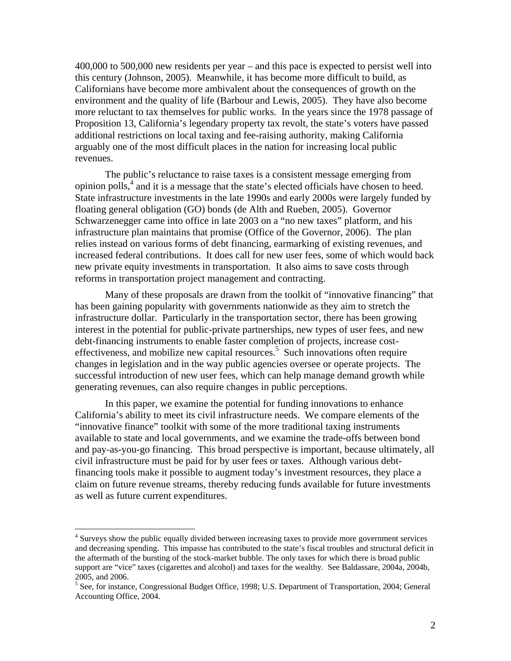400,000 to 500,000 new residents per year – and this pace is expected to persist well into this century (Johnson, 2005). Meanwhile, it has become more difficult to build, as Californians have become more ambivalent about the consequences of growth on the environment and the quality of life (Barbour and Lewis, 2005). They have also become more reluctant to tax themselves for public works. In the years since the 1978 passage of Proposition 13, California's legendary property tax revolt, the state's voters have passed additional restrictions on local taxing and fee-raising authority, making California arguably one of the most difficult places in the nation for increasing local public revenues.

 The public's reluctance to raise taxes is a consistent message emerging from opinion polls,<sup>4</sup> and it is a message that the state's elected officials have chosen to heed. State infrastructure investments in the late 1990s and early 2000s were largely funded by floating general obligation (GO) bonds (de Alth and Rueben, 2005). Governor Schwarzenegger came into office in late 2003 on a "no new taxes" platform, and his infrastructure plan maintains that promise (Office of the Governor, 2006). The plan relies instead on various forms of debt financing, earmarking of existing revenues, and increased federal contributions. It does call for new user fees, some of which would back new private equity investments in transportation. It also aims to save costs through reforms in transportation project management and contracting.

 Many of these proposals are drawn from the toolkit of "innovative financing" that has been gaining popularity with governments nationwide as they aim to stretch the infrastructure dollar. Particularly in the transportation sector, there has been growing interest in the potential for public-private partnerships, new types of user fees, and new debt-financing instruments to enable faster completion of projects, increase costeffectiveness, and mobilize new capital resources.<sup>5</sup> Such innovations often require changes in legislation and in the way public agencies oversee or operate projects. The successful introduction of new user fees, which can help manage demand growth while generating revenues, can also require changes in public perceptions.

 In this paper, we examine the potential for funding innovations to enhance California's ability to meet its civil infrastructure needs. We compare elements of the "innovative finance" toolkit with some of the more traditional taxing instruments available to state and local governments, and we examine the trade-offs between bond and pay-as-you-go financing. This broad perspective is important, because ultimately, all civil infrastructure must be paid for by user fees or taxes. Although various debtfinancing tools make it possible to augment today's investment resources, they place a claim on future revenue streams, thereby reducing funds available for future investments as well as future current expenditures.

<sup>&</sup>lt;sup>4</sup> Surveys show the public equally divided between increasing taxes to provide more government services and decreasing spending. This impasse has contributed to the state's fiscal troubles and structural deficit in the aftermath of the bursting of the stock-market bubble. The only taxes for which there is broad public support are "vice" taxes (cigarettes and alcohol) and taxes for the wealthy. See Baldassare, 2004a, 2004b, 2005, and 2006.

<sup>&</sup>lt;sup>5</sup> See, for instance, Congressional Budget Office, 1998; U.S. Department of Transportation, 2004; General Accounting Office, 2004.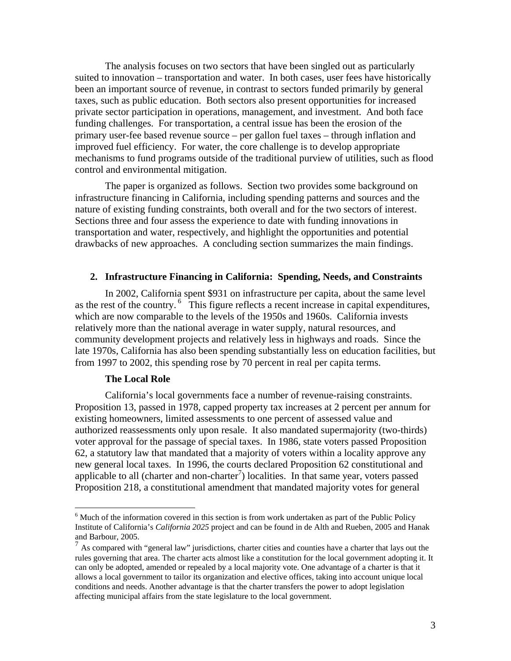The analysis focuses on two sectors that have been singled out as particularly suited to innovation – transportation and water. In both cases, user fees have historically been an important source of revenue, in contrast to sectors funded primarily by general taxes, such as public education. Both sectors also present opportunities for increased private sector participation in operations, management, and investment. And both face funding challenges. For transportation, a central issue has been the erosion of the primary user-fee based revenue source – per gallon fuel taxes – through inflation and improved fuel efficiency. For water, the core challenge is to develop appropriate mechanisms to fund programs outside of the traditional purview of utilities, such as flood control and environmental mitigation.

 The paper is organized as follows. Section two provides some background on infrastructure financing in California, including spending patterns and sources and the nature of existing funding constraints, both overall and for the two sectors of interest. Sections three and four assess the experience to date with funding innovations in transportation and water, respectively, and highlight the opportunities and potential drawbacks of new approaches. A concluding section summarizes the main findings.

# **2. Infrastructure Financing in California: Spending, Needs, and Constraints**

In 2002, California spent \$931 on infrastructure per capita, about the same level as the rest of the country. 6 This figure reflects a recent increase in capital expenditures, which are now comparable to the levels of the 1950s and 1960s. California invests relatively more than the national average in water supply, natural resources, and community development projects and relatively less in highways and roads. Since the late 1970s, California has also been spending substantially less on education facilities, but from 1997 to 2002, this spending rose by 70 percent in real per capita terms.

#### **The Local Role**

1

California's local governments face a number of revenue-raising constraints. Proposition 13, passed in 1978, capped property tax increases at 2 percent per annum for existing homeowners, limited assessments to one percent of assessed value and authorized reassessments only upon resale. It also mandated supermajority (two-thirds) voter approval for the passage of special taxes. In 1986, state voters passed Proposition 62, a statutory law that mandated that a majority of voters within a locality approve any new general local taxes. In 1996, the courts declared Proposition 62 constitutional and applicable to all (charter and non-charter<sup>7</sup>) localities. In that same year, voters passed Proposition 218, a constitutional amendment that mandated majority votes for general

 $<sup>6</sup>$  Much of the information covered in this section is from work undertaken as part of the Public Policy</sup> Institute of California's *California 2025* project and can be found in de Alth and Rueben, 2005 and Hanak and Barbour, 2005.

 $<sup>7</sup>$  As compared with "general law" jurisdictions, charter cities and counties have a charter that lays out the</sup> rules governing that area. The charter acts almost like a constitution for the local government adopting it. It can only be adopted, amended or repealed by a local majority vote. One advantage of a charter is that it allows a local government to tailor its organization and elective offices, taking into account unique local conditions and needs. Another advantage is that the charter transfers the power to adopt legislation affecting municipal affairs from the state legislature to the local government.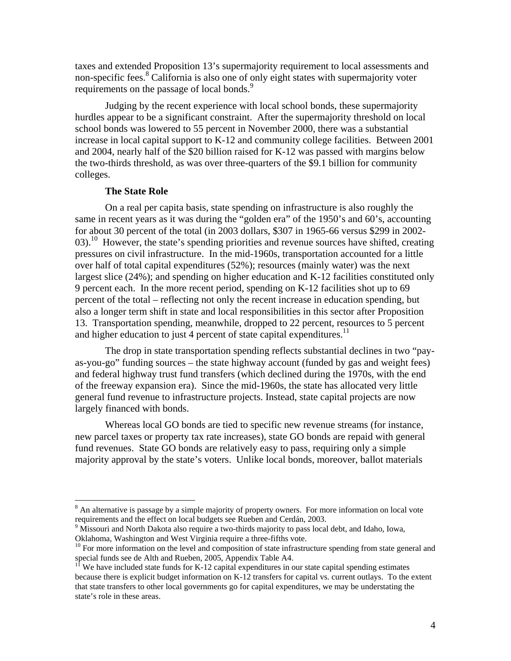taxes and extended Proposition 13's supermajority requirement to local assessments and non-specific fees.<sup>8</sup> California is also one of only eight states with supermajority voter requirements on the passage of local bonds.<sup>9</sup>

Judging by the recent experience with local school bonds, these supermajority hurdles appear to be a significant constraint. After the supermajority threshold on local school bonds was lowered to 55 percent in November 2000, there was a substantial increase in local capital support to K-12 and community college facilities. Between 2001 and 2004, nearly half of the \$20 billion raised for K-12 was passed with margins below the two-thirds threshold, as was over three-quarters of the \$9.1 billion for community colleges.

#### **The State Role**

1

On a real per capita basis, state spending on infrastructure is also roughly the same in recent years as it was during the "golden era" of the 1950's and 60's, accounting for about 30 percent of the total (in 2003 dollars, \$307 in 1965-66 versus \$299 in 2002- 03).<sup>10</sup> However, the state's spending priorities and revenue sources have shifted, creating pressures on civil infrastructure. In the mid-1960s, transportation accounted for a little over half of total capital expenditures (52%); resources (mainly water) was the next largest slice (24%); and spending on higher education and K-12 facilities constituted only 9 percent each. In the more recent period, spending on K-12 facilities shot up to 69 percent of the total – reflecting not only the recent increase in education spending, but also a longer term shift in state and local responsibilities in this sector after Proposition 13. Transportation spending, meanwhile, dropped to 22 percent, resources to 5 percent and higher education to just 4 percent of state capital expenditures.<sup>11</sup>

The drop in state transportation spending reflects substantial declines in two "payas-you-go" funding sources – the state highway account (funded by gas and weight fees) and federal highway trust fund transfers (which declined during the 1970s, with the end of the freeway expansion era). Since the mid-1960s, the state has allocated very little general fund revenue to infrastructure projects. Instead, state capital projects are now largely financed with bonds.

Whereas local GO bonds are tied to specific new revenue streams (for instance, new parcel taxes or property tax rate increases), state GO bonds are repaid with general fund revenues. State GO bonds are relatively easy to pass, requiring only a simple majority approval by the state's voters. Unlike local bonds, moreover, ballot materials

 $8$  An alternative is passage by a simple majority of property owners. For more information on local vote requirements and the effect on local budgets see Rueben and Cerdán, 2003.

Missouri and North Dakota also require a two-thirds majority to pass local debt, and Idaho, Iowa, Oklahoma, Washington and West Virginia require a three-fifths vote.

<sup>&</sup>lt;sup>10</sup> For more information on the level and composition of state infrastructure spending from state general and special funds see de Alth and Rueben, 2005, Appendix Table A4.

 $11$ <sup>I</sup> We have included state funds for K-12 capital expenditures in our state capital spending estimates because there is explicit budget information on K-12 transfers for capital vs. current outlays. To the extent that state transfers to other local governments go for capital expenditures, we may be understating the state's role in these areas.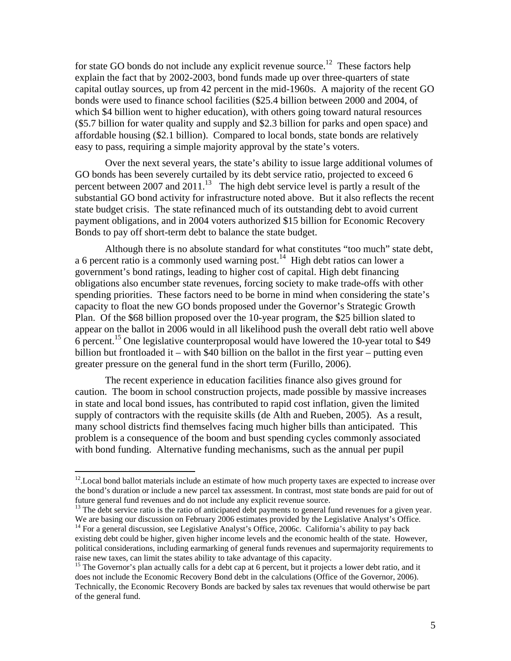for state GO bonds do not include any explicit revenue source.<sup>12</sup> These factors help explain the fact that by 2002-2003, bond funds made up over three-quarters of state capital outlay sources, up from 42 percent in the mid-1960s. A majority of the recent GO bonds were used to finance school facilities (\$25.4 billion between 2000 and 2004, of which \$4 billion went to higher education), with others going toward natural resources (\$5.7 billion for water quality and supply and \$2.3 billion for parks and open space) and affordable housing (\$2.1 billion). Compared to local bonds, state bonds are relatively easy to pass, requiring a simple majority approval by the state's voters.

Over the next several years, the state's ability to issue large additional volumes of GO bonds has been severely curtailed by its debt service ratio, projected to exceed 6 percent between 2007 and  $2011$ .<sup>13</sup> The high debt service level is partly a result of the substantial GO bond activity for infrastructure noted above. But it also reflects the recent state budget crisis. The state refinanced much of its outstanding debt to avoid current payment obligations, and in 2004 voters authorized \$15 billion for Economic Recovery Bonds to pay off short-term debt to balance the state budget.

Although there is no absolute standard for what constitutes "too much" state debt, a 6 percent ratio is a commonly used warning post.<sup>14</sup> High debt ratios can lower a government's bond ratings, leading to higher cost of capital. High debt financing obligations also encumber state revenues, forcing society to make trade-offs with other spending priorities. These factors need to be borne in mind when considering the state's capacity to float the new GO bonds proposed under the Governor's Strategic Growth Plan. Of the \$68 billion proposed over the 10-year program, the \$25 billion slated to appear on the ballot in 2006 would in all likelihood push the overall debt ratio well above 6 percent.<sup>15</sup> One legislative counterproposal would have lowered the 10-year total to \$49 billion but frontloaded it – with \$40 billion on the ballot in the first year – putting even greater pressure on the general fund in the short term (Furillo, 2006).

 The recent experience in education facilities finance also gives ground for caution. The boom in school construction projects, made possible by massive increases in state and local bond issues, has contributed to rapid cost inflation, given the limited supply of contractors with the requisite skills (de Alth and Rueben, 2005). As a result, many school districts find themselves facing much higher bills than anticipated. This problem is a consequence of the boom and bust spending cycles commonly associated with bond funding. Alternative funding mechanisms, such as the annual per pupil

 $\overline{a}$ 

<sup>13</sup> The debt service ratio is the ratio of anticipated debt payments to general fund revenues for a given year. We are basing our discussion on February 2006 estimates provided by the Legislative Analyst's Office.

<sup>&</sup>lt;sup>12</sup>. Local bond ballot materials include an estimate of how much property taxes are expected to increase over the bond's duration or include a new parcel tax assessment. In contrast, most state bonds are paid for out of future general fund revenues and do not include any explicit revenue source.

<sup>&</sup>lt;sup>14</sup> For a general discussion, see Legislative Analyst's Office, 2006c. California's ability to pay back existing debt could be higher, given higher income levels and the economic health of the state. However, political considerations, including earmarking of general funds revenues and supermajority requirements to raise new taxes, can limit the states ability to take advantage of this capacity.

<sup>&</sup>lt;sup>15</sup> The Governor's plan actually calls for a debt cap at 6 percent, but it projects a lower debt ratio, and it does not include the Economic Recovery Bond debt in the calculations (Office of the Governor, 2006). Technically, the Economic Recovery Bonds are backed by sales tax revenues that would otherwise be part of the general fund.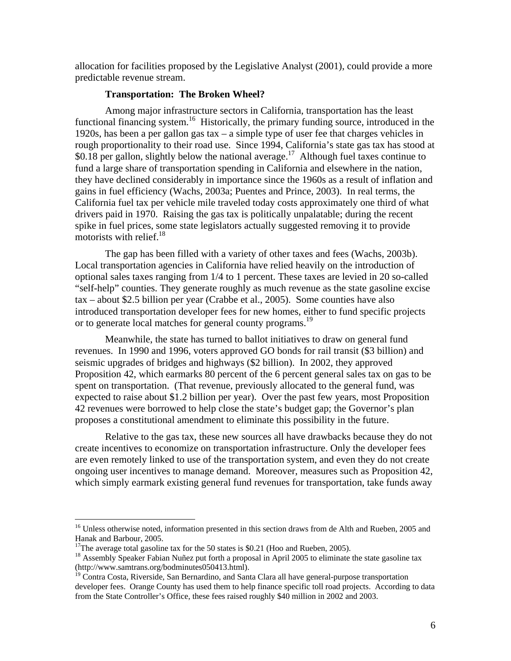allocation for facilities proposed by the Legislative Analyst (2001), could provide a more predictable revenue stream.

#### **Transportation: The Broken Wheel?**

Among major infrastructure sectors in California, transportation has the least functional financing system.<sup>16</sup> Historically, the primary funding source, introduced in the 1920s, has been a per gallon gas tax – a simple type of user fee that charges vehicles in rough proportionality to their road use. Since 1994, California's state gas tax has stood at  $$0.18$  per gallon, slightly below the national average.<sup>17</sup> Although fuel taxes continue to fund a large share of transportation spending in California and elsewhere in the nation, they have declined considerably in importance since the 1960s as a result of inflation and gains in fuel efficiency (Wachs, 2003a; Puentes and Prince, 2003). In real terms, the California fuel tax per vehicle mile traveled today costs approximately one third of what drivers paid in 1970. Raising the gas tax is politically unpalatable; during the recent spike in fuel prices, some state legislators actually suggested removing it to provide motorists with relief.<sup>18</sup>

The gap has been filled with a variety of other taxes and fees (Wachs, 2003b). Local transportation agencies in California have relied heavily on the introduction of optional sales taxes ranging from 1/4 to 1 percent. These taxes are levied in 20 so-called "self-help" counties. They generate roughly as much revenue as the state gasoline excise tax – about \$2.5 billion per year (Crabbe et al., 2005). Some counties have also introduced transportation developer fees for new homes, either to fund specific projects or to generate local matches for general county programs.<sup>19</sup>

Meanwhile, the state has turned to ballot initiatives to draw on general fund revenues. In 1990 and 1996, voters approved GO bonds for rail transit (\$3 billion) and seismic upgrades of bridges and highways (\$2 billion). In 2002, they approved Proposition 42, which earmarks 80 percent of the 6 percent general sales tax on gas to be spent on transportation. (That revenue, previously allocated to the general fund, was expected to raise about \$1.2 billion per year). Over the past few years, most Proposition 42 revenues were borrowed to help close the state's budget gap; the Governor's plan proposes a constitutional amendment to eliminate this possibility in the future.

Relative to the gas tax, these new sources all have drawbacks because they do not create incentives to economize on transportation infrastructure. Only the developer fees are even remotely linked to use of the transportation system, and even they do not create ongoing user incentives to manage demand. Moreover, measures such as Proposition 42, which simply earmark existing general fund revenues for transportation, take funds away

<sup>&</sup>lt;sup>16</sup> Unless otherwise noted, information presented in this section draws from de Alth and Rueben, 2005 and Hanak and Barbour, 2005.

<sup>&</sup>lt;sup>17</sup>The average total gasoline tax for the 50 states is \$0.21 (Hoo and Rueben, 2005).

<sup>&</sup>lt;sup>18</sup> Assembly Speaker Fabian Nuñez put forth a proposal in April 2005 to eliminate the state gasoline tax (http://www.samtrans.org/bodminutes050413.html).

<sup>&</sup>lt;sup>19</sup> Contra Costa, Riverside, San Bernardino, and Santa Clara all have general-purpose transportation developer fees. Orange County has used them to help finance specific toll road projects. According to data from the State Controller's Office, these fees raised roughly \$40 million in 2002 and 2003.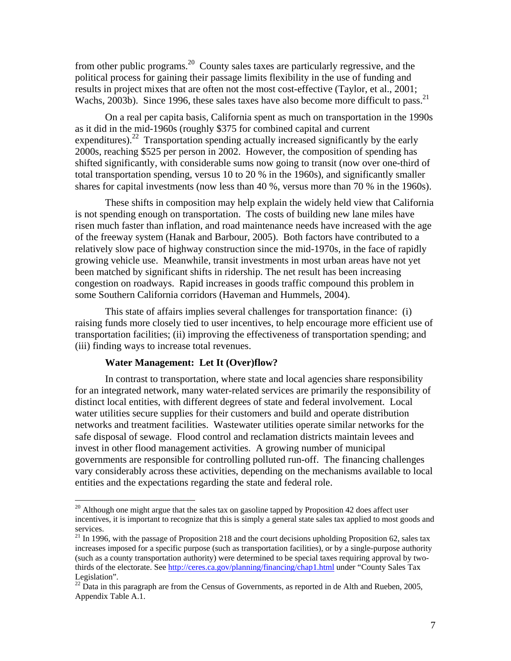from other public programs.20 County sales taxes are particularly regressive, and the political process for gaining their passage limits flexibility in the use of funding and results in project mixes that are often not the most cost-effective (Taylor, et al., 2001; Wachs, 2003b). Since 1996, these sales taxes have also become more difficult to pass.<sup>21</sup>

On a real per capita basis, California spent as much on transportation in the 1990s as it did in the mid-1960s (roughly \$375 for combined capital and current expenditures).<sup>22</sup> Transportation spending actually increased significantly by the early 2000s, reaching \$525 per person in 2002. However, the composition of spending has shifted significantly, with considerable sums now going to transit (now over one-third of total transportation spending, versus 10 to 20 % in the 1960s), and significantly smaller shares for capital investments (now less than 40 %, versus more than 70 % in the 1960s).

These shifts in composition may help explain the widely held view that California is not spending enough on transportation. The costs of building new lane miles have risen much faster than inflation, and road maintenance needs have increased with the age of the freeway system (Hanak and Barbour, 2005). Both factors have contributed to a relatively slow pace of highway construction since the mid-1970s, in the face of rapidly growing vehicle use. Meanwhile, transit investments in most urban areas have not yet been matched by significant shifts in ridership. The net result has been increasing congestion on roadways. Rapid increases in goods traffic compound this problem in some Southern California corridors (Haveman and Hummels, 2004).

This state of affairs implies several challenges for transportation finance: (i) raising funds more closely tied to user incentives, to help encourage more efficient use of transportation facilities; (ii) improving the effectiveness of transportation spending; and (iii) finding ways to increase total revenues.

### **Water Management: Let It (Over)flow?**

 $\overline{a}$ 

In contrast to transportation, where state and local agencies share responsibility for an integrated network, many water-related services are primarily the responsibility of distinct local entities, with different degrees of state and federal involvement. Local water utilities secure supplies for their customers and build and operate distribution networks and treatment facilities. Wastewater utilities operate similar networks for the safe disposal of sewage. Flood control and reclamation districts maintain levees and invest in other flood management activities. A growing number of municipal governments are responsible for controlling polluted run-off. The financing challenges vary considerably across these activities, depending on the mechanisms available to local entities and the expectations regarding the state and federal role.

 $20$  Although one might argue that the sales tax on gasoline tapped by Proposition 42 does affect user incentives, it is important to recognize that this is simply a general state sales tax applied to most goods and services.

 $21$  In 1996, with the passage of Proposition 218 and the court decisions upholding Proposition 62, sales tax increases imposed for a specific purpose (such as transportation facilities), or by a single-purpose authority (such as a county transportation authority) were determined to be special taxes requiring approval by twothirds of the electorate. See http://ceres.ca.gov/planning/financing/chap1.html under "County Sales Tax Legislation".

 $22$  Data in this paragraph are from the Census of Governments, as reported in de Alth and Rueben, 2005, Appendix Table A.1.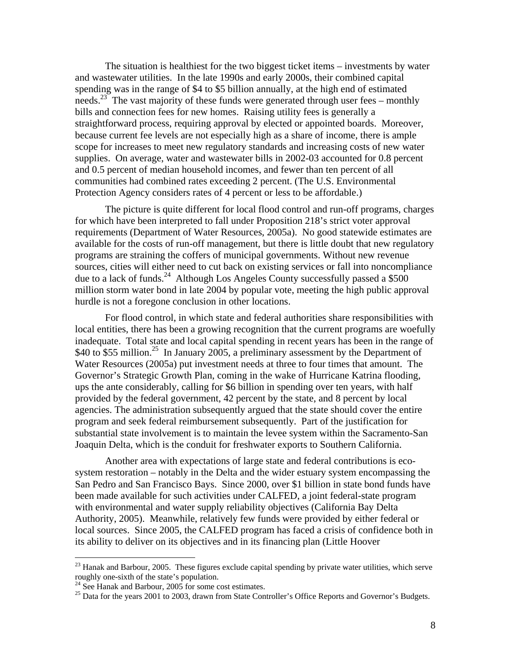The situation is healthiest for the two biggest ticket items – investments by water and wastewater utilities. In the late 1990s and early 2000s, their combined capital spending was in the range of \$4 to \$5 billion annually, at the high end of estimated needs.<sup>23</sup> The vast majority of these funds were generated through user fees – monthly bills and connection fees for new homes. Raising utility fees is generally a straightforward process, requiring approval by elected or appointed boards. Moreover, because current fee levels are not especially high as a share of income, there is ample scope for increases to meet new regulatory standards and increasing costs of new water supplies. On average, water and wastewater bills in 2002-03 accounted for 0.8 percent and 0.5 percent of median household incomes, and fewer than ten percent of all communities had combined rates exceeding 2 percent. (The U.S. Environmental Protection Agency considers rates of 4 percent or less to be affordable.)

The picture is quite different for local flood control and run-off programs, charges for which have been interpreted to fall under Proposition 218's strict voter approval requirements (Department of Water Resources, 2005a). No good statewide estimates are available for the costs of run-off management, but there is little doubt that new regulatory programs are straining the coffers of municipal governments. Without new revenue sources, cities will either need to cut back on existing services or fall into noncompliance due to a lack of funds.<sup>24</sup> Although Los Angeles County successfully passed a \$500 million storm water bond in late 2004 by popular vote, meeting the high public approval hurdle is not a foregone conclusion in other locations.

For flood control, in which state and federal authorities share responsibilities with local entities, there has been a growing recognition that the current programs are woefully inadequate. Total state and local capital spending in recent years has been in the range of \$40 to \$55 million.<sup>25</sup> In January 2005, a preliminary assessment by the Department of Water Resources (2005a) put investment needs at three to four times that amount. The Governor's Strategic Growth Plan, coming in the wake of Hurricane Katrina flooding, ups the ante considerably, calling for \$6 billion in spending over ten years, with half provided by the federal government, 42 percent by the state, and 8 percent by local agencies. The administration subsequently argued that the state should cover the entire program and seek federal reimbursement subsequently. Part of the justification for substantial state involvement is to maintain the levee system within the Sacramento-San Joaquin Delta, which is the conduit for freshwater exports to Southern California.

Another area with expectations of large state and federal contributions is ecosystem restoration – notably in the Delta and the wider estuary system encompassing the San Pedro and San Francisco Bays. Since 2000, over \$1 billion in state bond funds have been made available for such activities under CALFED, a joint federal-state program with environmental and water supply reliability objectives (California Bay Delta Authority, 2005). Meanwhile, relatively few funds were provided by either federal or local sources. Since 2005, the CALFED program has faced a crisis of confidence both in its ability to deliver on its objectives and in its financing plan (Little Hoover

 $^{23}$  Hanak and Barbour, 2005. These figures exclude capital spending by private water utilities, which serve roughly one-sixth of the state's population.

 $24$  See Hanak and Barbour, 2005 for some cost estimates.

 $25$  Data for the years 2001 to 2003, drawn from State Controller's Office Reports and Governor's Budgets.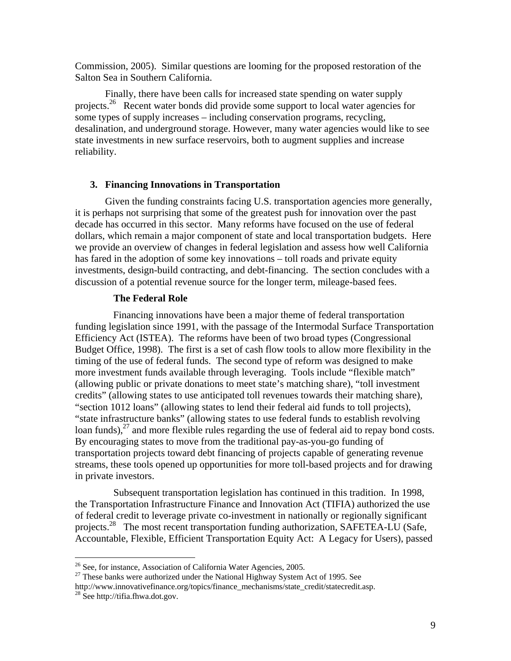Commission, 2005). Similar questions are looming for the proposed restoration of the Salton Sea in Southern California.

Finally, there have been calls for increased state spending on water supply projects.<sup>26</sup> Recent water bonds did provide some support to local water agencies for some types of supply increases – including conservation programs, recycling, desalination, and underground storage. However, many water agencies would like to see state investments in new surface reservoirs, both to augment supplies and increase reliability.

# **3. Financing Innovations in Transportation**

Given the funding constraints facing U.S. transportation agencies more generally, it is perhaps not surprising that some of the greatest push for innovation over the past decade has occurred in this sector. Many reforms have focused on the use of federal dollars, which remain a major component of state and local transportation budgets. Here we provide an overview of changes in federal legislation and assess how well California has fared in the adoption of some key innovations – toll roads and private equity investments, design-build contracting, and debt-financing. The section concludes with a discussion of a potential revenue source for the longer term, mileage-based fees.

### **The Federal Role**

 Financing innovations have been a major theme of federal transportation funding legislation since 1991, with the passage of the Intermodal Surface Transportation Efficiency Act (ISTEA). The reforms have been of two broad types (Congressional Budget Office, 1998). The first is a set of cash flow tools to allow more flexibility in the timing of the use of federal funds. The second type of reform was designed to make more investment funds available through leveraging. Tools include "flexible match" (allowing public or private donations to meet state's matching share), "toll investment credits" (allowing states to use anticipated toll revenues towards their matching share), "section 1012 loans" (allowing states to lend their federal aid funds to toll projects), "state infrastructure banks" (allowing states to use federal funds to establish revolving loan funds), $^{27}$  and more flexible rules regarding the use of federal aid to repay bond costs. By encouraging states to move from the traditional pay-as-you-go funding of transportation projects toward debt financing of projects capable of generating revenue streams, these tools opened up opportunities for more toll-based projects and for drawing in private investors.

Subsequent transportation legislation has continued in this tradition. In 1998, the Transportation Infrastructure Finance and Innovation Act (TIFIA) authorized the use of federal credit to leverage private co-investment in nationally or regionally significant projects.<sup>28</sup> The most recent transportation funding authorization, SAFETEA-LU (Safe, Accountable, Flexible, Efficient Transportation Equity Act: A Legacy for Users), passed

<sup>&</sup>lt;sup>26</sup> See, for instance, Association of California Water Agencies, 2005.

 $27$  These banks were authorized under the National Highway System Act of 1995. See

http://www.innovativefinance.org/topics/finance\_mechanisms/state\_credit/statecredit.asp. 28 See http://tifia.fhwa.dot.gov.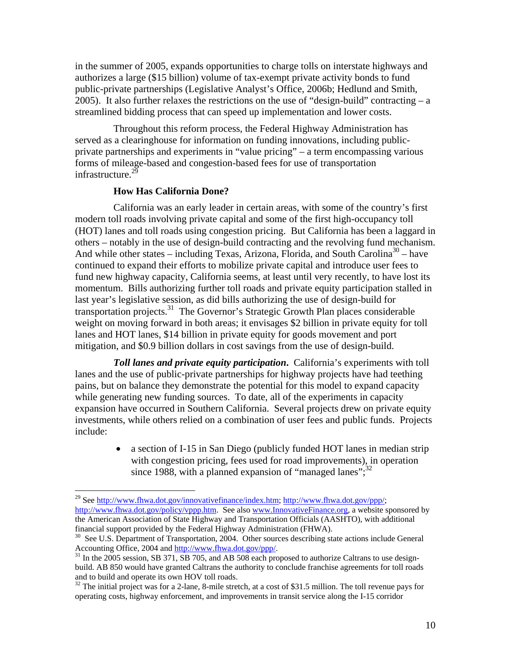in the summer of 2005, expands opportunities to charge tolls on interstate highways and authorizes a large (\$15 billion) volume of tax-exempt private activity bonds to fund public-private partnerships (Legislative Analyst's Office, 2006b; Hedlund and Smith, 2005). It also further relaxes the restrictions on the use of "design-build" contracting  $- a$ streamlined bidding process that can speed up implementation and lower costs.

Throughout this reform process, the Federal Highway Administration has served as a clearinghouse for information on funding innovations, including publicprivate partnerships and experiments in "value pricing" – a term encompassing various forms of mileage-based and congestion-based fees for use of transportation infrastructure.<sup>29</sup>

#### **How Has California Done?**

 $\overline{a}$ 

California was an early leader in certain areas, with some of the country's first modern toll roads involving private capital and some of the first high-occupancy toll (HOT) lanes and toll roads using congestion pricing. But California has been a laggard in others – notably in the use of design-build contracting and the revolving fund mechanism. And while other states – including Texas, Arizona, Florida, and South Carolina<sup>30</sup> – have continued to expand their efforts to mobilize private capital and introduce user fees to fund new highway capacity, California seems, at least until very recently, to have lost its momentum. Bills authorizing further toll roads and private equity participation stalled in last year's legislative session, as did bills authorizing the use of design-build for transportation projects.<sup>31</sup> The Governor's Strategic Growth Plan places considerable weight on moving forward in both areas; it envisages \$2 billion in private equity for toll lanes and HOT lanes, \$14 billion in private equity for goods movement and port mitigation, and \$0.9 billion dollars in cost savings from the use of design-build.

*Toll lanes and private equity participation***.** California's experiments with toll lanes and the use of public-private partnerships for highway projects have had teething pains, but on balance they demonstrate the potential for this model to expand capacity while generating new funding sources. To date, all of the experiments in capacity expansion have occurred in Southern California. Several projects drew on private equity investments, while others relied on a combination of user fees and public funds. Projects include:

> • a section of I-15 in San Diego (publicly funded HOT lanes in median strip with congestion pricing, fees used for road improvements), in operation since 1988, with a planned expansion of "managed lanes"; $^{32}$

<sup>&</sup>lt;sup>29</sup> See http://www.fhwa.dot.gov/innovativefinance/index.htm; http://www.fhwa.dot.gov/ppp/; http://www.fhwa.dot.gov/policy/vppp.htm. See also www.InnovativeFinance.org, a website sponsored by the American Association of State Highway and Transportation Officials (AASHTO), with additional financial support provided by the Federal Highway Administration (FHWA).

<sup>&</sup>lt;sup>30</sup> See U.S. Department of Transportation, 2004. Other sources describing state actions include General Accounting Office, 2004 and http://www.fhwa.dot.gov/ppp/.

 $^{31}$  In the 2005 session, SB 371, SB 705, and AB 508 each proposed to authorize Caltrans to use designbuild. AB 850 would have granted Caltrans the authority to conclude franchise agreements for toll roads and to build and operate its own HOV toll roads.

 $32$  The initial project was for a 2-lane, 8-mile stretch, at a cost of \$31.5 million. The toll revenue pays for operating costs, highway enforcement, and improvements in transit service along the I-15 corridor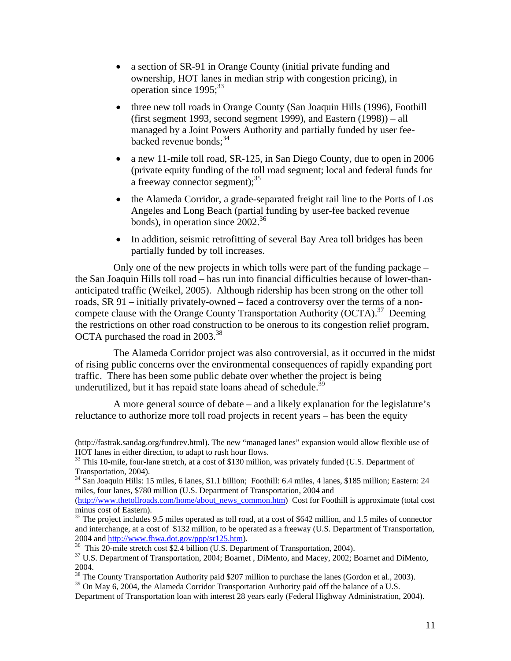- a section of SR-91 in Orange County (initial private funding and ownership, HOT lanes in median strip with congestion pricing), in operation since  $1995$ ;  $33$
- three new toll roads in Orange County (San Joaquin Hills (1996), Foothill (first segment 1993, second segment 1999), and Eastern (1998)) – all managed by a Joint Powers Authority and partially funded by user feebacked revenue bonds; $34$
- a new 11-mile toll road, SR-125, in San Diego County, due to open in 2006 (private equity funding of the toll road segment; local and federal funds for a freeway connector segment):  $35$
- the Alameda Corridor, a grade-separated freight rail line to the Ports of Los Angeles and Long Beach (partial funding by user-fee backed revenue bonds), in operation since  $2002^{36}$
- In addition, seismic retrofitting of several Bay Area toll bridges has been partially funded by toll increases.

Only one of the new projects in which tolls were part of the funding package – the San Joaquin Hills toll road – has run into financial difficulties because of lower-thananticipated traffic (Weikel, 2005). Although ridership has been strong on the other toll roads, SR 91 – initially privately-owned – faced a controversy over the terms of a noncompete clause with the Orange County Transportation Authority (OCTA).<sup>37</sup> Deeming the restrictions on other road construction to be onerous to its congestion relief program, OCTA purchased the road in 2003.<sup>38</sup>

The Alameda Corridor project was also controversial, as it occurred in the midst of rising public concerns over the environmental consequences of rapidly expanding port traffic. There has been some public debate over whether the project is being underutilized, but it has repaid state loans ahead of schedule.<sup>3</sup>

A more general source of debate – and a likely explanation for the legislature's reluctance to authorize more toll road projects in recent years – has been the equity

 <sup>(</sup>http://fastrak.sandag.org/fundrev.html). The new "managed lanes" expansion would allow flexible use of HOT lanes in either direction, to adapt to rush hour flows.

<sup>&</sup>lt;sup>33</sup> This 10-mile, four-lane stretch, at a cost of \$130 million, was privately funded (U.S. Department of Transportation, 2004).

<sup>34</sup> San Joaquin Hills: 15 miles, 6 lanes, \$1.1 billion; Foothill: 6.4 miles, 4 lanes, \$185 million; Eastern: 24 miles, four lanes, \$780 million (U.S. Department of Transportation, 2004 and

<sup>(</sup>http://www.thetollroads.com/home/about\_news\_common.htm) Cost for Foothill is approximate (total cost minus cost of Eastern).

<sup>&</sup>lt;sup>35</sup> The project includes 9.5 miles operated as toll road, at a cost of \$642 million, and 1.5 miles of connector and interchange, at a cost of \$132 million, to be operated as a freeway (U.S. Department of Transportation, 2004 and http://www.fhwa.dot.gov/ppp/sr125.htm).<br><sup>36</sup> This 20-mile stretch cost \$2.4 billion (U.S. Department of Transportation, 2004).

<sup>&</sup>lt;sup>37</sup> U.S. Department of Transportation, 2004; Boarnet, DiMento, and Macey, 2002; Boarnet and DiMento, 2004.

<sup>&</sup>lt;sup>38</sup> The County Transportation Authority paid \$207 million to purchase the lanes (Gordon et al., 2003).

 $39$  On May 6, 2004, the Alameda Corridor Transportation Authority paid off the balance of a U.S.

Department of Transportation loan with interest 28 years early (Federal Highway Administration, 2004).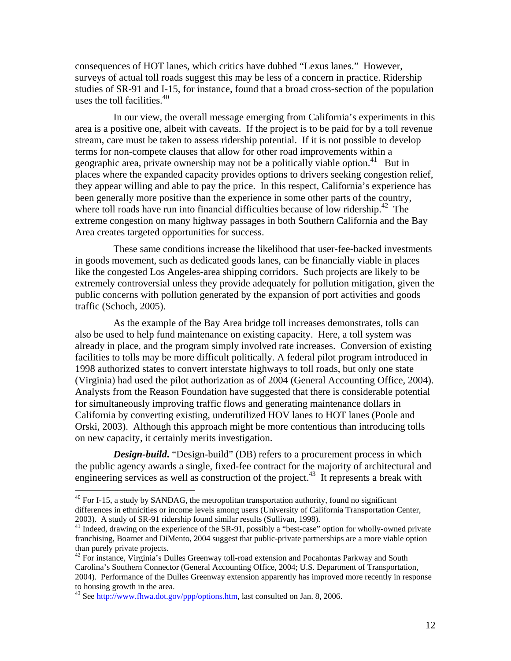consequences of HOT lanes, which critics have dubbed "Lexus lanes." However, surveys of actual toll roads suggest this may be less of a concern in practice. Ridership studies of SR-91 and I-15, for instance, found that a broad cross-section of the population uses the toll facilities.<sup>40</sup>

In our view, the overall message emerging from California's experiments in this area is a positive one, albeit with caveats. If the project is to be paid for by a toll revenue stream, care must be taken to assess ridership potential. If it is not possible to develop terms for non-compete clauses that allow for other road improvements within a geographic area, private ownership may not be a politically viable option.<sup>41</sup> But in places where the expanded capacity provides options to drivers seeking congestion relief, they appear willing and able to pay the price. In this respect, California's experience has been generally more positive than the experience in some other parts of the country, where toll roads have run into financial difficulties because of low ridership.<sup>42</sup> The extreme congestion on many highway passages in both Southern California and the Bay Area creates targeted opportunities for success.

These same conditions increase the likelihood that user-fee-backed investments in goods movement, such as dedicated goods lanes, can be financially viable in places like the congested Los Angeles-area shipping corridors. Such projects are likely to be extremely controversial unless they provide adequately for pollution mitigation, given the public concerns with pollution generated by the expansion of port activities and goods traffic (Schoch, 2005).

As the example of the Bay Area bridge toll increases demonstrates, tolls can also be used to help fund maintenance on existing capacity. Here, a toll system was already in place, and the program simply involved rate increases. Conversion of existing facilities to tolls may be more difficult politically. A federal pilot program introduced in 1998 authorized states to convert interstate highways to toll roads, but only one state (Virginia) had used the pilot authorization as of 2004 (General Accounting Office, 2004). Analysts from the Reason Foundation have suggested that there is considerable potential for simultaneously improving traffic flows and generating maintenance dollars in California by converting existing, underutilized HOV lanes to HOT lanes (Poole and Orski, 2003). Although this approach might be more contentious than introducing tolls on new capacity, it certainly merits investigation.

*Design-build***.** "Design-build" (DB) refers to a procurement process in which the public agency awards a single, fixed-fee contract for the majority of architectural and engineering services as well as construction of the project.<sup>43</sup> It represents a break with

 $40$  For I-15, a study by SANDAG, the metropolitan transportation authority, found no significant differences in ethnicities or income levels among users (University of California Transportation Center, 2003). A study of SR-91 ridership found similar results (Sullivan, 1998).

<sup>&</sup>lt;sup>41</sup> Indeed, drawing on the experience of the SR-91, possibly a "best-case" option for wholly-owned private franchising, Boarnet and DiMento, 2004 suggest that public-private partnerships are a more viable option than purely private projects.

<sup>&</sup>lt;sup>42</sup> For instance, Virginia's Dulles Greenway toll-road extension and Pocahontas Parkway and South Carolina's Southern Connector (General Accounting Office, 2004; U.S. Department of Transportation, 2004). Performance of the Dulles Greenway extension apparently has improved more recently in response to housing growth in the area.

 $43$  See http://www.fhwa.dot.gov/ppp/options.htm, last consulted on Jan. 8, 2006.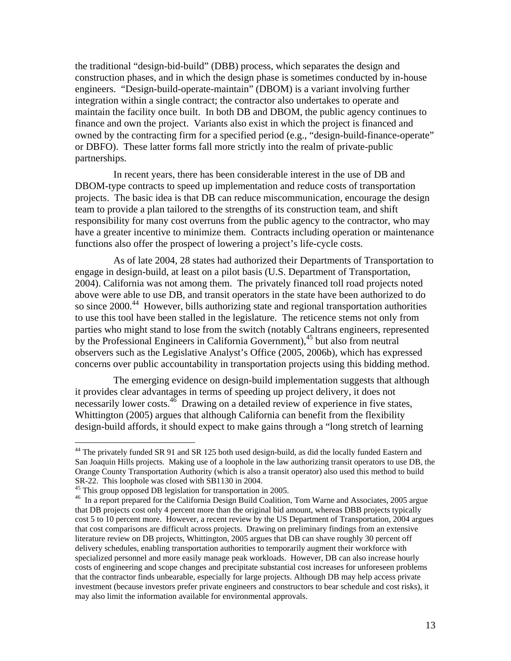the traditional "design-bid-build" (DBB) process, which separates the design and construction phases, and in which the design phase is sometimes conducted by in-house engineers. "Design-build-operate-maintain" (DBOM) is a variant involving further integration within a single contract; the contractor also undertakes to operate and maintain the facility once built. In both DB and DBOM, the public agency continues to finance and own the project. Variants also exist in which the project is financed and owned by the contracting firm for a specified period (e.g., "design-build-finance-operate" or DBFO). These latter forms fall more strictly into the realm of private-public partnerships.

In recent years, there has been considerable interest in the use of DB and DBOM-type contracts to speed up implementation and reduce costs of transportation projects. The basic idea is that DB can reduce miscommunication, encourage the design team to provide a plan tailored to the strengths of its construction team, and shift responsibility for many cost overruns from the public agency to the contractor, who may have a greater incentive to minimize them. Contracts including operation or maintenance functions also offer the prospect of lowering a project's life-cycle costs.

As of late 2004, 28 states had authorized their Departments of Transportation to engage in design-build, at least on a pilot basis (U.S. Department of Transportation, 2004). California was not among them. The privately financed toll road projects noted above were able to use DB, and transit operators in the state have been authorized to do so since 2000.<sup>44</sup> However, bills authorizing state and regional transportation authorities to use this tool have been stalled in the legislature. The reticence stems not only from parties who might stand to lose from the switch (notably Caltrans engineers, represented by the Professional Engineers in California Government),  $45$  but also from neutral observers such as the Legislative Analyst's Office (2005, 2006b), which has expressed concerns over public accountability in transportation projects using this bidding method.

The emerging evidence on design-build implementation suggests that although it provides clear advantages in terms of speeding up project delivery, it does not necessarily lower costs.<sup>46</sup> Drawing on a detailed review of experience in five states, Whittington (2005) argues that although California can benefit from the flexibility design-build affords, it should expect to make gains through a "long stretch of learning

1

 $44$  The privately funded SR 91 and SR 125 both used design-build, as did the locally funded Eastern and San Joaquin Hills projects. Making use of a loophole in the law authorizing transit operators to use DB, the Orange County Transportation Authority (which is also a transit operator) also used this method to build SR-22. This loophole was closed with SB1130 in 2004.<br><sup>45</sup> This group opposed DB legislation for transportation in 2005.

<sup>&</sup>lt;sup>46</sup> In a report prepared for the California Design Build Coalition, Tom Warne and Associates, 2005 argue that DB projects cost only 4 percent more than the original bid amount, whereas DBB projects typically cost 5 to 10 percent more. However, a recent review by the US Department of Transportation, 2004 argues that cost comparisons are difficult across projects. Drawing on preliminary findings from an extensive literature review on DB projects, Whittington, 2005 argues that DB can shave roughly 30 percent off delivery schedules, enabling transportation authorities to temporarily augment their workforce with specialized personnel and more easily manage peak workloads. However, DB can also increase hourly costs of engineering and scope changes and precipitate substantial cost increases for unforeseen problems that the contractor finds unbearable, especially for large projects. Although DB may help access private investment (because investors prefer private engineers and constructors to bear schedule and cost risks), it may also limit the information available for environmental approvals.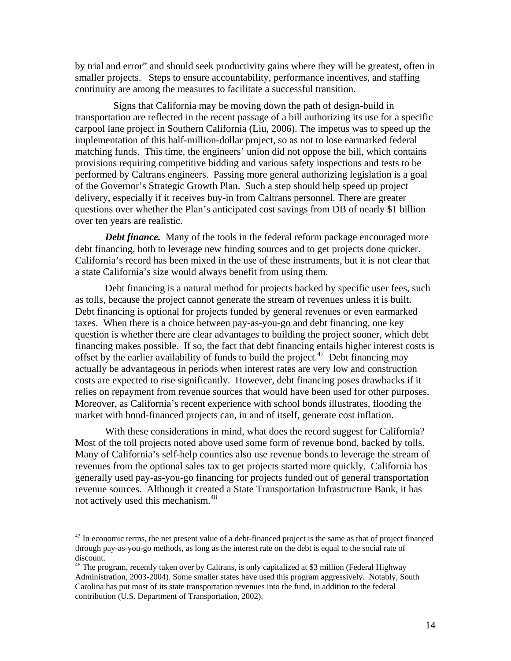by trial and error" and should seek productivity gains where they will be greatest, often in smaller projects. Steps to ensure accountability, performance incentives, and staffing continuity are among the measures to facilitate a successful transition.

Signs that California may be moving down the path of design-build in transportation are reflected in the recent passage of a bill authorizing its use for a specific carpool lane project in Southern California (Liu, 2006). The impetus was to speed up the implementation of this half-million-dollar project, so as not to lose earmarked federal matching funds. This time, the engineers' union did not oppose the bill, which contains provisions requiring competitive bidding and various safety inspections and tests to be performed by Caltrans engineers. Passing more general authorizing legislation is a goal of the Governor's Strategic Growth Plan. Such a step should help speed up project delivery, especially if it receives buy-in from Caltrans personnel. There are greater questions over whether the Plan's anticipated cost savings from DB of nearly \$1 billion over ten years are realistic.

*Debt finance.* Many of the tools in the federal reform package encouraged more debt financing, both to leverage new funding sources and to get projects done quicker. California's record has been mixed in the use of these instruments, but it is not clear that a state California's size would always benefit from using them.

Debt financing is a natural method for projects backed by specific user fees, such as tolls, because the project cannot generate the stream of revenues unless it is built. Debt financing is optional for projects funded by general revenues or even earmarked taxes. When there is a choice between pay-as-you-go and debt financing, one key question is whether there are clear advantages to building the project sooner, which debt financing makes possible. If so, the fact that debt financing entails higher interest costs is offset by the earlier availability of funds to build the project.<sup>47</sup> Debt financing may actually be advantageous in periods when interest rates are very low and construction costs are expected to rise significantly. However, debt financing poses drawbacks if it relies on repayment from revenue sources that would have been used for other purposes. Moreover, as California's recent experience with school bonds illustrates, flooding the market with bond-financed projects can, in and of itself, generate cost inflation.

With these considerations in mind, what does the record suggest for California? Most of the toll projects noted above used some form of revenue bond, backed by tolls. Many of California's self-help counties also use revenue bonds to leverage the stream of revenues from the optional sales tax to get projects started more quickly. California has generally used pay-as-you-go financing for projects funded out of general transportation revenue sources. Although it created a State Transportation Infrastructure Bank, it has not actively used this mechanism.<sup>48</sup>

<u>.</u>

 $47$  In economic terms, the net present value of a debt-financed project is the same as that of project financed through pay-as-you-go methods, as long as the interest rate on the debt is equal to the social rate of discount.

<sup>&</sup>lt;sup>48</sup> The program, recently taken over by Caltrans, is only capitalized at \$3 million (Federal Highway Administration, 2003-2004). Some smaller states have used this program aggressively. Notably, South Carolina has put most of its state transportation revenues into the fund, in addition to the federal contribution (U.S. Department of Transportation, 2002).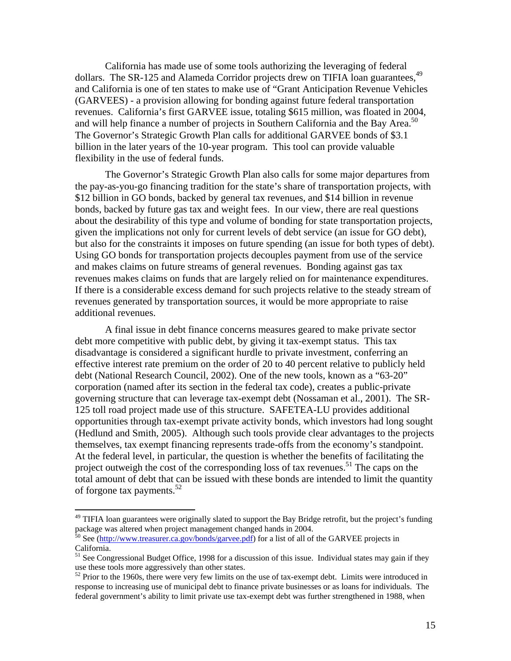California has made use of some tools authorizing the leveraging of federal dollars. The SR-125 and Alameda Corridor projects drew on TIFIA loan guarantees,<sup>49</sup> and California is one of ten states to make use of "Grant Anticipation Revenue Vehicles (GARVEES) - a provision allowing for bonding against future federal transportation revenues. California's first GARVEE issue, totaling \$615 million, was floated in 2004, and will help finance a number of projects in Southern California and the Bay Area.<sup>50</sup> The Governor's Strategic Growth Plan calls for additional GARVEE bonds of \$3.1 billion in the later years of the 10-year program. This tool can provide valuable flexibility in the use of federal funds.

The Governor's Strategic Growth Plan also calls for some major departures from the pay-as-you-go financing tradition for the state's share of transportation projects, with \$12 billion in GO bonds, backed by general tax revenues, and \$14 billion in revenue bonds, backed by future gas tax and weight fees. In our view, there are real questions about the desirability of this type and volume of bonding for state transportation projects, given the implications not only for current levels of debt service (an issue for GO debt), but also for the constraints it imposes on future spending (an issue for both types of debt). Using GO bonds for transportation projects decouples payment from use of the service and makes claims on future streams of general revenues. Bonding against gas tax revenues makes claims on funds that are largely relied on for maintenance expenditures. If there is a considerable excess demand for such projects relative to the steady stream of revenues generated by transportation sources, it would be more appropriate to raise additional revenues.

A final issue in debt finance concerns measures geared to make private sector debt more competitive with public debt, by giving it tax-exempt status. This tax disadvantage is considered a significant hurdle to private investment, conferring an effective interest rate premium on the order of 20 to 40 percent relative to publicly held debt (National Research Council, 2002). One of the new tools, known as a "63-20" corporation (named after its section in the federal tax code), creates a public-private governing structure that can leverage tax-exempt debt (Nossaman et al., 2001). The SR-125 toll road project made use of this structure. SAFETEA-LU provides additional opportunities through tax-exempt private activity bonds, which investors had long sought (Hedlund and Smith, 2005). Although such tools provide clear advantages to the projects themselves, tax exempt financing represents trade-offs from the economy's standpoint. At the federal level, in particular, the question is whether the benefits of facilitating the project outweigh the cost of the corresponding loss of tax revenues.<sup>51</sup> The caps on the total amount of debt that can be issued with these bonds are intended to limit the quantity of forgone tax payments. $52$ 

1

<sup>&</sup>lt;sup>49</sup> TIFIA loan guarantees were originally slated to support the Bay Bridge retrofit, but the project's funding package was altered when project management changed hands in 2004.

<sup>50</sup> See (http://www.treasurer.ca.gov/bonds/garvee.pdf) for a list of all of the GARVEE projects in California.

<sup>&</sup>lt;sup>51</sup> See Congressional Budget Office, 1998 for a discussion of this issue. Individual states may gain if they use these tools more aggressively than other states.

 $52$  Prior to the 1960s, there were very few limits on the use of tax-exempt debt. Limits were introduced in response to increasing use of municipal debt to finance private businesses or as loans for individuals. The federal government's ability to limit private use tax-exempt debt was further strengthened in 1988, when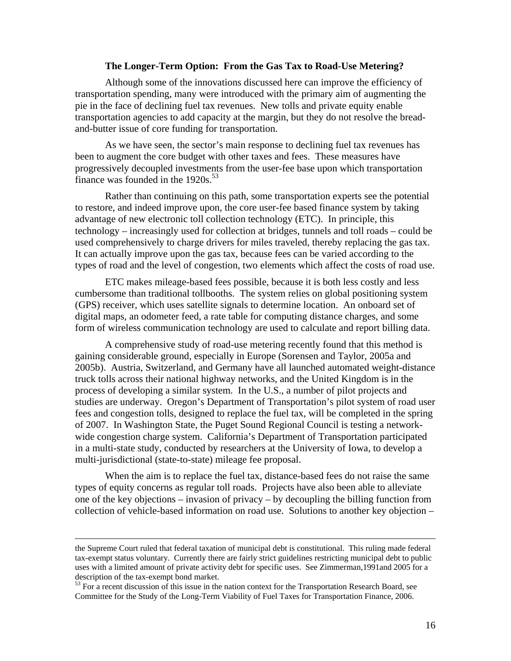#### **The Longer-Term Option: From the Gas Tax to Road-Use Metering?**

 Although some of the innovations discussed here can improve the efficiency of transportation spending, many were introduced with the primary aim of augmenting the pie in the face of declining fuel tax revenues. New tolls and private equity enable transportation agencies to add capacity at the margin, but they do not resolve the breadand-butter issue of core funding for transportation.

 As we have seen, the sector's main response to declining fuel tax revenues has been to augment the core budget with other taxes and fees. These measures have progressively decoupled investments from the user-fee base upon which transportation finance was founded in the  $1920s$ .<sup>53</sup>

 Rather than continuing on this path, some transportation experts see the potential to restore, and indeed improve upon, the core user-fee based finance system by taking advantage of new electronic toll collection technology (ETC). In principle, this technology – increasingly used for collection at bridges, tunnels and toll roads – could be used comprehensively to charge drivers for miles traveled, thereby replacing the gas tax. It can actually improve upon the gas tax, because fees can be varied according to the types of road and the level of congestion, two elements which affect the costs of road use.

 ETC makes mileage-based fees possible, because it is both less costly and less cumbersome than traditional tollbooths. The system relies on global positioning system (GPS) receiver, which uses satellite signals to determine location. An onboard set of digital maps, an odometer feed, a rate table for computing distance charges, and some form of wireless communication technology are used to calculate and report billing data.

 A comprehensive study of road-use metering recently found that this method is gaining considerable ground, especially in Europe (Sorensen and Taylor, 2005a and 2005b). Austria, Switzerland, and Germany have all launched automated weight-distance truck tolls across their national highway networks, and the United Kingdom is in the process of developing a similar system. In the U.S., a number of pilot projects and studies are underway. Oregon's Department of Transportation's pilot system of road user fees and congestion tolls, designed to replace the fuel tax, will be completed in the spring of 2007. In Washington State, the Puget Sound Regional Council is testing a networkwide congestion charge system. California's Department of Transportation participated in a multi-state study, conducted by researchers at the University of Iowa, to develop a multi-jurisdictional (state-to-state) mileage fee proposal.

 When the aim is to replace the fuel tax, distance-based fees do not raise the same types of equity concerns as regular toll roads. Projects have also been able to alleviate one of the key objections – invasion of privacy – by decoupling the billing function from collection of vehicle-based information on road use. Solutions to another key objection –

the Supreme Court ruled that federal taxation of municipal debt is constitutional. This ruling made federal tax-exempt status voluntary. Currently there are fairly strict guidelines restricting municipal debt to public uses with a limited amount of private activity debt for specific uses. See Zimmerman,1991and 2005 for a description of the tax-exempt bond market.

 $53$  For a recent discussion of this issue in the nation context for the Transportation Research Board, see Committee for the Study of the Long-Term Viability of Fuel Taxes for Transportation Finance, 2006.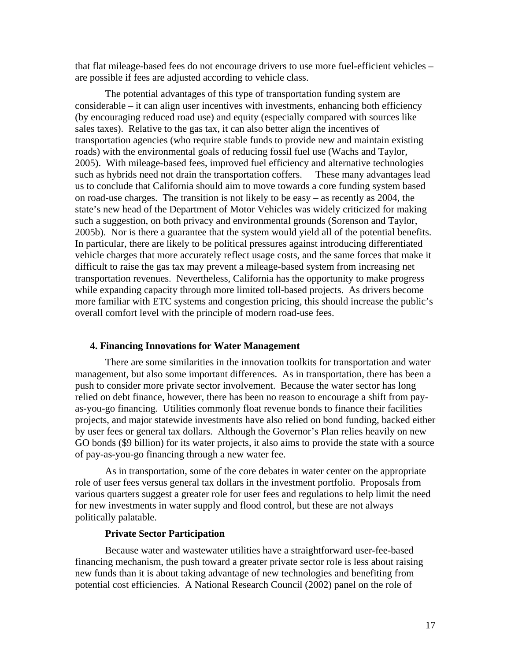that flat mileage-based fees do not encourage drivers to use more fuel-efficient vehicles – are possible if fees are adjusted according to vehicle class.

 The potential advantages of this type of transportation funding system are considerable – it can align user incentives with investments, enhancing both efficiency (by encouraging reduced road use) and equity (especially compared with sources like sales taxes). Relative to the gas tax, it can also better align the incentives of transportation agencies (who require stable funds to provide new and maintain existing roads) with the environmental goals of reducing fossil fuel use (Wachs and Taylor, 2005). With mileage-based fees, improved fuel efficiency and alternative technologies such as hybrids need not drain the transportation coffers. These many advantages lead us to conclude that California should aim to move towards a core funding system based on road-use charges. The transition is not likely to be easy – as recently as 2004, the state's new head of the Department of Motor Vehicles was widely criticized for making such a suggestion, on both privacy and environmental grounds (Sorenson and Taylor, 2005b). Nor is there a guarantee that the system would yield all of the potential benefits. In particular, there are likely to be political pressures against introducing differentiated vehicle charges that more accurately reflect usage costs, and the same forces that make it difficult to raise the gas tax may prevent a mileage-based system from increasing net transportation revenues. Nevertheless, California has the opportunity to make progress while expanding capacity through more limited toll-based projects. As drivers become more familiar with ETC systems and congestion pricing, this should increase the public's overall comfort level with the principle of modern road-use fees.

#### **4. Financing Innovations for Water Management**

There are some similarities in the innovation toolkits for transportation and water management, but also some important differences. As in transportation, there has been a push to consider more private sector involvement. Because the water sector has long relied on debt finance, however, there has been no reason to encourage a shift from payas-you-go financing. Utilities commonly float revenue bonds to finance their facilities projects, and major statewide investments have also relied on bond funding, backed either by user fees or general tax dollars. Although the Governor's Plan relies heavily on new GO bonds (\$9 billion) for its water projects, it also aims to provide the state with a source of pay-as-you-go financing through a new water fee.

As in transportation, some of the core debates in water center on the appropriate role of user fees versus general tax dollars in the investment portfolio. Proposals from various quarters suggest a greater role for user fees and regulations to help limit the need for new investments in water supply and flood control, but these are not always politically palatable.

#### **Private Sector Participation**

Because water and wastewater utilities have a straightforward user-fee-based financing mechanism, the push toward a greater private sector role is less about raising new funds than it is about taking advantage of new technologies and benefiting from potential cost efficiencies. A National Research Council (2002) panel on the role of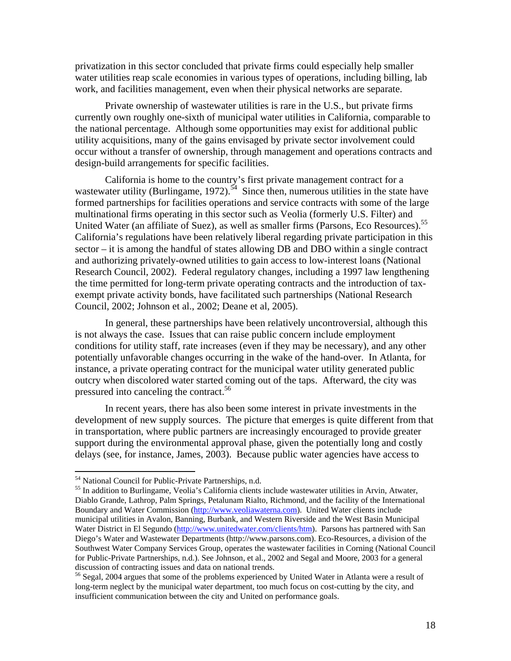privatization in this sector concluded that private firms could especially help smaller water utilities reap scale economies in various types of operations, including billing, lab work, and facilities management, even when their physical networks are separate.

Private ownership of wastewater utilities is rare in the U.S., but private firms currently own roughly one-sixth of municipal water utilities in California, comparable to the national percentage. Although some opportunities may exist for additional public utility acquisitions, many of the gains envisaged by private sector involvement could occur without a transfer of ownership, through management and operations contracts and design-build arrangements for specific facilities.

California is home to the country's first private management contract for a wastewater utility (Burlingame,  $1972$ ).<sup>54</sup> Since then, numerous utilities in the state have formed partnerships for facilities operations and service contracts with some of the large multinational firms operating in this sector such as Veolia (formerly U.S. Filter) and United Water (an affiliate of Suez), as well as smaller firms (Parsons, Eco Resources).<sup>55</sup> California's regulations have been relatively liberal regarding private participation in this sector – it is among the handful of states allowing DB and DBO within a single contract and authorizing privately-owned utilities to gain access to low-interest loans (National Research Council, 2002). Federal regulatory changes, including a 1997 law lengthening the time permitted for long-term private operating contracts and the introduction of taxexempt private activity bonds, have facilitated such partnerships (National Research Council, 2002; Johnson et al., 2002; Deane et al, 2005).

In general, these partnerships have been relatively uncontroversial, although this is not always the case. Issues that can raise public concern include employment conditions for utility staff, rate increases (even if they may be necessary), and any other potentially unfavorable changes occurring in the wake of the hand-over. In Atlanta, for instance, a private operating contract for the municipal water utility generated public outcry when discolored water started coming out of the taps. Afterward, the city was pressured into canceling the contract.<sup>56</sup>

In recent years, there has also been some interest in private investments in the development of new supply sources. The picture that emerges is quite different from that in transportation, where public partners are increasingly encouraged to provide greater support during the environmental approval phase, given the potentially long and costly delays (see, for instance, James, 2003). Because public water agencies have access to

1

<sup>&</sup>lt;sup>54</sup> National Council for Public-Private Partnerships, n.d.

<sup>55</sup> In addition to Burlingame, Veolia's California clients include wastewater utilities in Arvin, Atwater, Diablo Grande, Lathrop, Palm Springs, Petalunam Rialto, Richmond, and the facility of the International Boundary and Water Commission (http://www.veoliawaterna.com). United Water clients include municipal utilities in Avalon, Banning, Burbank, and Western Riverside and the West Basin Municipal Water District in El Segundo (http://www.unitedwater.com/clients/htm). Parsons has partnered with San Diego's Water and Wastewater Departments (http://www.parsons.com). Eco-Resources, a division of the Southwest Water Company Services Group, operates the wastewater facilities in Corning (National Council for Public-Private Partnerships, n.d.). See Johnson, et al., 2002 and Segal and Moore, 2003 for a general discussion of contracting issues and data on national trends.

<sup>56</sup> Segal, 2004 argues that some of the problems experienced by United Water in Atlanta were a result of long-term neglect by the municipal water department, too much focus on cost-cutting by the city, and insufficient communication between the city and United on performance goals.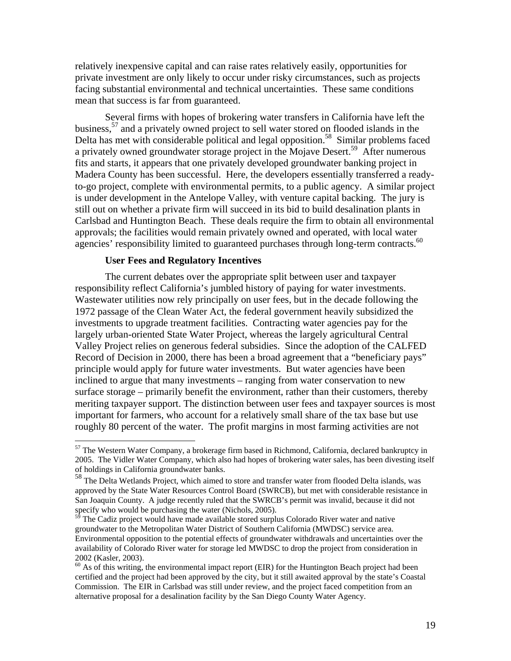relatively inexpensive capital and can raise rates relatively easily, opportunities for private investment are only likely to occur under risky circumstances, such as projects facing substantial environmental and technical uncertainties. These same conditions mean that success is far from guaranteed.

Several firms with hopes of brokering water transfers in California have left the business,57 and a privately owned project to sell water stored on flooded islands in the Delta has met with considerable political and legal opposition.<sup>58</sup> Similar problems faced a privately owned groundwater storage project in the Mojave Desert.<sup>59</sup> After numerous fits and starts, it appears that one privately developed groundwater banking project in Madera County has been successful. Here, the developers essentially transferred a readyto-go project, complete with environmental permits, to a public agency. A similar project is under development in the Antelope Valley, with venture capital backing. The jury is still out on whether a private firm will succeed in its bid to build desalination plants in Carlsbad and Huntington Beach. These deals require the firm to obtain all environmental approvals; the facilities would remain privately owned and operated, with local water agencies' responsibility limited to guaranteed purchases through long-term contracts.<sup>60</sup>

#### **User Fees and Regulatory Incentives**

<u>.</u>

The current debates over the appropriate split between user and taxpayer responsibility reflect California's jumbled history of paying for water investments. Wastewater utilities now rely principally on user fees, but in the decade following the 1972 passage of the Clean Water Act, the federal government heavily subsidized the investments to upgrade treatment facilities. Contracting water agencies pay for the largely urban-oriented State Water Project, whereas the largely agricultural Central Valley Project relies on generous federal subsidies. Since the adoption of the CALFED Record of Decision in 2000, there has been a broad agreement that a "beneficiary pays" principle would apply for future water investments. But water agencies have been inclined to argue that many investments – ranging from water conservation to new surface storage – primarily benefit the environment, rather than their customers, thereby meriting taxpayer support. The distinction between user fees and taxpayer sources is most important for farmers, who account for a relatively small share of the tax base but use roughly 80 percent of the water. The profit margins in most farming activities are not

 $57$  The Western Water Company, a brokerage firm based in Richmond, California, declared bankruptcy in 2005. The Vidler Water Company, which also had hopes of brokering water sales, has been divesting itself of holdings in California groundwater banks.

<sup>58</sup> The Delta Wetlands Project, which aimed to store and transfer water from flooded Delta islands, was approved by the State Water Resources Control Board (SWRCB), but met with considerable resistance in San Joaquin County. A judge recently ruled that the SWRCB's permit was invalid, because it did not specify who would be purchasing the water (Nichols, 2005).

The Cadiz project would have made available stored surplus Colorado River water and native groundwater to the Metropolitan Water District of Southern California (MWDSC) service area. Environmental opposition to the potential effects of groundwater withdrawals and uncertainties over the availability of Colorado River water for storage led MWDSC to drop the project from consideration in 2002 (Kasler, 2003).

 $^{60}$  As of this writing, the environmental impact report (EIR) for the Huntington Beach project had been certified and the project had been approved by the city, but it still awaited approval by the state's Coastal Commission. The EIR in Carlsbad was still under review, and the project faced competition from an alternative proposal for a desalination facility by the San Diego County Water Agency.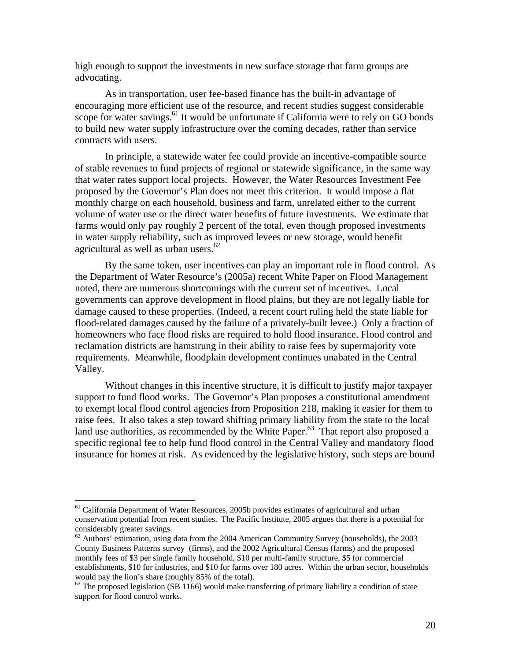high enough to support the investments in new surface storage that farm groups are advocating.

As in transportation, user fee-based finance has the built-in advantage of encouraging more efficient use of the resource, and recent studies suggest considerable scope for water savings.<sup>61</sup> It would be unfortunate if California were to rely on GO bonds to build new water supply infrastructure over the coming decades, rather than service contracts with users.

In principle, a statewide water fee could provide an incentive-compatible source of stable revenues to fund projects of regional or statewide significance, in the same way that water rates support local projects. However, the Water Resources Investment Fee proposed by the Governor's Plan does not meet this criterion. It would impose a flat monthly charge on each household, business and farm, unrelated either to the current volume of water use or the direct water benefits of future investments. We estimate that farms would only pay roughly 2 percent of the total, even though proposed investments in water supply reliability, such as improved levees or new storage, would benefit agricultural as well as urban users.<sup>62</sup>

By the same token, user incentives can play an important role in flood control. As the Department of Water Resource's (2005a) recent White Paper on Flood Management noted, there are numerous shortcomings with the current set of incentives. Local governments can approve development in flood plains, but they are not legally liable for damage caused to these properties. (Indeed, a recent court ruling held the state liable for flood-related damages caused by the failure of a privately-built levee.) Only a fraction of homeowners who face flood risks are required to hold flood insurance. Flood control and reclamation districts are hamstrung in their ability to raise fees by supermajority vote requirements. Meanwhile, floodplain development continues unabated in the Central Valley.

Without changes in this incentive structure, it is difficult to justify major taxpayer support to fund flood works. The Governor's Plan proposes a constitutional amendment to exempt local flood control agencies from Proposition 218, making it easier for them to raise fees. It also takes a step toward shifting primary liability from the state to the local land use authorities, as recommended by the White Paper. $63$  That report also proposed a specific regional fee to help fund flood control in the Central Valley and mandatory flood insurance for homes at risk. As evidenced by the legislative history, such steps are bound

<sup>&</sup>lt;sup>61</sup> California Department of Water Resources, 2005b provides estimates of agricultural and urban conservation potential from recent studies. The Pacific Institute, 2005 argues that there is a potential for considerably greater savings.

 $62$  Authors' estimation, using data from the 2004 American Community Survey (households), the 2003 County Business Patterns survey (firms), and the 2002 Agricultural Census (farms) and the proposed monthly fees of \$3 per single family household, \$10 per multi-family structure, \$5 for commercial establishments, \$10 for industries, and \$10 for farms over 180 acres. Within the urban sector, households would pay the lion's share (roughly 85% of the total).

 $63$  The proposed legislation (SB 1166) would make transferring of primary liability a condition of state support for flood control works.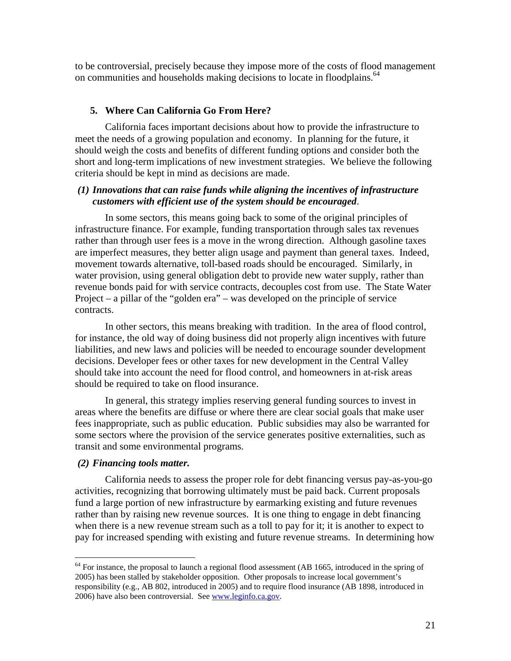to be controversial, precisely because they impose more of the costs of flood management on communities and households making decisions to locate in floodplains.<sup>64</sup>

#### **5. Where Can California Go From Here?**

California faces important decisions about how to provide the infrastructure to meet the needs of a growing population and economy. In planning for the future, it should weigh the costs and benefits of different funding options and consider both the short and long-term implications of new investment strategies. We believe the following criteria should be kept in mind as decisions are made.

# *(1) Innovations that can raise funds while aligning the incentives of infrastructure customers with efficient use of the system should be encouraged*.

 In some sectors, this means going back to some of the original principles of infrastructure finance. For example, funding transportation through sales tax revenues rather than through user fees is a move in the wrong direction. Although gasoline taxes are imperfect measures, they better align usage and payment than general taxes. Indeed, movement towards alternative, toll-based roads should be encouraged. Similarly, in water provision, using general obligation debt to provide new water supply, rather than revenue bonds paid for with service contracts, decouples cost from use. The State Water Project – a pillar of the "golden era" – was developed on the principle of service contracts.

 In other sectors, this means breaking with tradition. In the area of flood control, for instance, the old way of doing business did not properly align incentives with future liabilities, and new laws and policies will be needed to encourage sounder development decisions. Developer fees or other taxes for new development in the Central Valley should take into account the need for flood control, and homeowners in at-risk areas should be required to take on flood insurance.

 In general, this strategy implies reserving general funding sources to invest in areas where the benefits are diffuse or where there are clear social goals that make user fees inappropriate, such as public education. Public subsidies may also be warranted for some sectors where the provision of the service generates positive externalities, such as transit and some environmental programs.

#### *(2) Financing tools matter.*

<u>.</u>

 California needs to assess the proper role for debt financing versus pay-as-you-go activities, recognizing that borrowing ultimately must be paid back. Current proposals fund a large portion of new infrastructure by earmarking existing and future revenues rather than by raising new revenue sources. It is one thing to engage in debt financing when there is a new revenue stream such as a toll to pay for it; it is another to expect to pay for increased spending with existing and future revenue streams. In determining how

 $64$  For instance, the proposal to launch a regional flood assessment (AB 1665, introduced in the spring of 2005) has been stalled by stakeholder opposition. Other proposals to increase local government's responsibility (e.g., AB 802, introduced in 2005) and to require flood insurance (AB 1898, introduced in 2006) have also been controversial. See www.leginfo.ca.gov.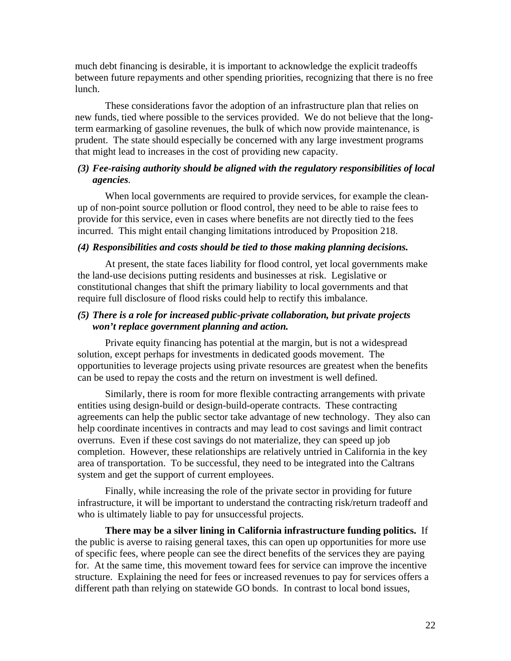much debt financing is desirable, it is important to acknowledge the explicit tradeoffs between future repayments and other spending priorities, recognizing that there is no free lunch.

These considerations favor the adoption of an infrastructure plan that relies on new funds, tied where possible to the services provided. We do not believe that the longterm earmarking of gasoline revenues, the bulk of which now provide maintenance, is prudent. The state should especially be concerned with any large investment programs that might lead to increases in the cost of providing new capacity.

# *(3) Fee-raising authority should be aligned with the regulatory responsibilities of local agencies.*

 When local governments are required to provide services, for example the cleanup of non-point source pollution or flood control, they need to be able to raise fees to provide for this service, even in cases where benefits are not directly tied to the fees incurred. This might entail changing limitations introduced by Proposition 218.

## *(4) Responsibilities and costs should be tied to those making planning decisions.*

 At present, the state faces liability for flood control, yet local governments make the land-use decisions putting residents and businesses at risk. Legislative or constitutional changes that shift the primary liability to local governments and that require full disclosure of flood risks could help to rectify this imbalance.

# *(5) There is a role for increased public-private collaboration, but private projects won't replace government planning and action.*

 Private equity financing has potential at the margin, but is not a widespread solution, except perhaps for investments in dedicated goods movement. The opportunities to leverage projects using private resources are greatest when the benefits can be used to repay the costs and the return on investment is well defined.

 Similarly, there is room for more flexible contracting arrangements with private entities using design-build or design-build-operate contracts. These contracting agreements can help the public sector take advantage of new technology. They also can help coordinate incentives in contracts and may lead to cost savings and limit contract overruns. Even if these cost savings do not materialize, they can speed up job completion. However, these relationships are relatively untried in California in the key area of transportation. To be successful, they need to be integrated into the Caltrans system and get the support of current employees.

 Finally, while increasing the role of the private sector in providing for future infrastructure, it will be important to understand the contracting risk/return tradeoff and who is ultimately liable to pay for unsuccessful projects.

 **There may be a silver lining in California infrastructure funding politics.** If the public is averse to raising general taxes, this can open up opportunities for more use of specific fees, where people can see the direct benefits of the services they are paying for. At the same time, this movement toward fees for service can improve the incentive structure. Explaining the need for fees or increased revenues to pay for services offers a different path than relying on statewide GO bonds. In contrast to local bond issues,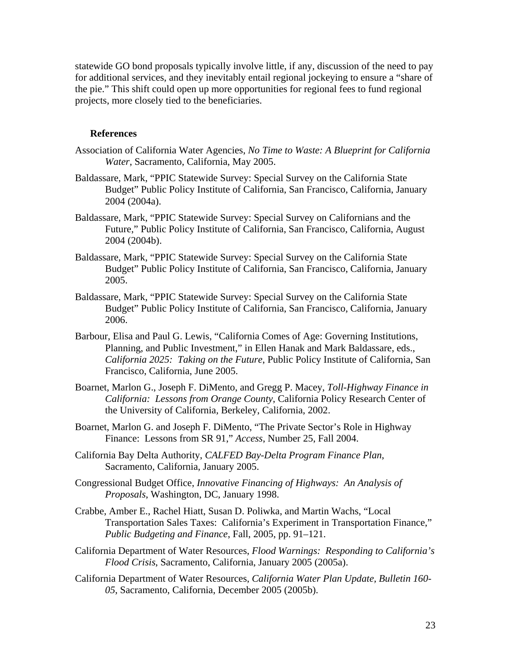statewide GO bond proposals typically involve little, if any, discussion of the need to pay for additional services, and they inevitably entail regional jockeying to ensure a "share of the pie." This shift could open up more opportunities for regional fees to fund regional projects, more closely tied to the beneficiaries.

#### **References**

- Association of California Water Agencies, *No Time to Waste: A Blueprint for California Water*, Sacramento, California, May 2005.
- Baldassare, Mark, "PPIC Statewide Survey: Special Survey on the California State Budget" Public Policy Institute of California, San Francisco, California, January 2004 (2004a).
- Baldassare, Mark, "PPIC Statewide Survey: Special Survey on Californians and the Future," Public Policy Institute of California, San Francisco, California, August 2004 (2004b).
- Baldassare, Mark, "PPIC Statewide Survey: Special Survey on the California State Budget" Public Policy Institute of California, San Francisco, California, January 2005.
- Baldassare, Mark, "PPIC Statewide Survey: Special Survey on the California State Budget" Public Policy Institute of California, San Francisco, California, January 2006.
- Barbour, Elisa and Paul G. Lewis, "California Comes of Age: Governing Institutions, Planning, and Public Investment," in Ellen Hanak and Mark Baldassare, eds., *California 2025: Taking on the Future*, Public Policy Institute of California, San Francisco, California, June 2005.
- Boarnet, Marlon G., Joseph F. DiMento, and Gregg P. Macey, *Toll-Highway Finance in California: Lessons from Orange County*, California Policy Research Center of the University of California, Berkeley, California, 2002.
- Boarnet, Marlon G. and Joseph F. DiMento, "The Private Sector's Role in Highway Finance: Lessons from SR 91," *Access*, Number 25, Fall 2004.
- California Bay Delta Authority, *CALFED Bay-Delta Program Finance Plan*, Sacramento, California, January 2005.
- Congressional Budget Office, *Innovative Financing of Highways: An Analysis of Proposals*, Washington, DC, January 1998.
- Crabbe, Amber E., Rachel Hiatt, Susan D. Poliwka, and Martin Wachs, "Local Transportation Sales Taxes: California's Experiment in Transportation Finance," *Public Budgeting and Finance*, Fall, 2005, pp. 91–121.
- California Department of Water Resources, *Flood Warnings: Responding to California's Flood Crisis*, Sacramento, California, January 2005 (2005a).
- California Department of Water Resources, *California Water Plan Update, Bulletin 160- 05*, Sacramento, California, December 2005 (2005b).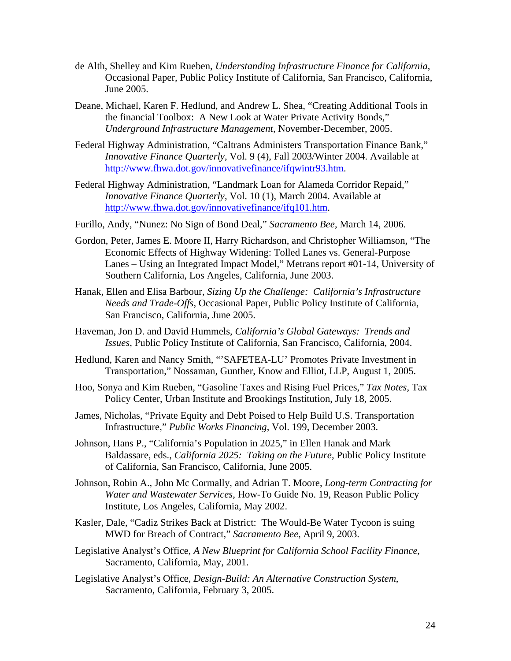- de Alth, Shelley and Kim Rueben, *Understanding Infrastructure Finance for California*, Occasional Paper, Public Policy Institute of California, San Francisco, California, June 2005.
- Deane, Michael, Karen F. Hedlund, and Andrew L. Shea, "Creating Additional Tools in the financial Toolbox: A New Look at Water Private Activity Bonds," *Underground Infrastructure Management*, November-December, 2005.
- Federal Highway Administration*,* "Caltrans Administers Transportation Finance Bank," *Innovative Finance Quarterly*, Vol. 9 (4), Fall 2003/Winter 2004. Available at http://www.fhwa.dot.gov/innovativefinance/ifqwintr93.htm.
- Federal Highway Administration, "Landmark Loan for Alameda Corridor Repaid," *Innovative Finance Quarterly*, Vol. 10 (1), March 2004. Available at http://www.fhwa.dot.gov/innovativefinance/ifq101.htm.
- Furillo, Andy, "Nunez: No Sign of Bond Deal," *Sacramento Bee*, March 14, 2006.
- Gordon, Peter, James E. Moore II, Harry Richardson, and Christopher Williamson, "The Economic Effects of Highway Widening: Tolled Lanes vs. General-Purpose Lanes – Using an Integrated Impact Model," Metrans report #01-14, University of Southern California, Los Angeles, California, June 2003.
- Hanak, Ellen and Elisa Barbour, *Sizing Up the Challenge: California's Infrastructure Needs and Trade-Offs*, Occasional Paper, Public Policy Institute of California, San Francisco, California, June 2005.
- Haveman, Jon D. and David Hummels, *California's Global Gateways: Trends and Issues*, Public Policy Institute of California, San Francisco, California, 2004.
- Hedlund, Karen and Nancy Smith, "'SAFETEA-LU' Promotes Private Investment in Transportation," Nossaman, Gunther, Know and Elliot, LLP, August 1, 2005.
- Hoo, Sonya and Kim Rueben, "Gasoline Taxes and Rising Fuel Prices," *Tax Notes*, Tax Policy Center, Urban Institute and Brookings Institution, July 18, 2005.
- James, Nicholas, "Private Equity and Debt Poised to Help Build U.S. Transportation Infrastructure," *Public Works Financing*, Vol. 199, December 2003.
- Johnson, Hans P., "California's Population in 2025," in Ellen Hanak and Mark Baldassare, eds., *California 2025: Taking on the Future*, Public Policy Institute of California, San Francisco, California, June 2005.
- Johnson, Robin A., John Mc Cormally, and Adrian T. Moore, *Long-term Contracting for Water and Wastewater Services*, How-To Guide No. 19, Reason Public Policy Institute, Los Angeles, California, May 2002.
- Kasler, Dale, "Cadiz Strikes Back at District: The Would-Be Water Tycoon is suing MWD for Breach of Contract," *Sacramento Bee*, April 9, 2003.
- Legislative Analyst's Office, *A New Blueprint for California School Facility Finance*, Sacramento, California, May, 2001.
- Legislative Analyst's Office, *Design-Build: An Alternative Construction System*, Sacramento, California, February 3, 2005.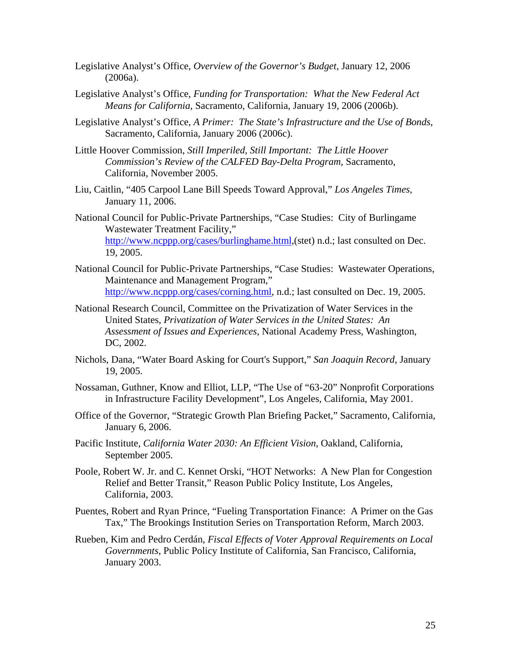- Legislative Analyst's Office, *Overview of the Governor's Budget*, January 12, 2006 (2006a).
- Legislative Analyst's Office, *Funding for Transportation: What the New Federal Act Means for California*, Sacramento, California, January 19, 2006 (2006b).
- Legislative Analyst's Office, *A Primer: The State's Infrastructure and the Use of Bonds*, Sacramento, California, January 2006 (2006c).
- Little Hoover Commission, *Still Imperiled, Still Important: The Little Hoover Commission's Review of the CALFED Bay-Delta Program*, Sacramento, California, November 2005.
- Liu, Caitlin, "405 Carpool Lane Bill Speeds Toward Approval," *Los Angeles Times*, January 11, 2006.
- National Council for Public-Private Partnerships, "Case Studies: City of Burlingame Wastewater Treatment Facility," http://www.ncppp.org/cases/burlinghame.html,(stet) n.d.; last consulted on Dec. 19, 2005.
- National Council for Public-Private Partnerships, "Case Studies: Wastewater Operations, Maintenance and Management Program," http://www.ncppp.org/cases/corning.html, n.d.; last consulted on Dec. 19, 2005.
- National Research Council, Committee on the Privatization of Water Services in the United States, *Privatization of Water Services in the United States: An Assessment of Issues and Experiences*, National Academy Press, Washington, DC, 2002.
- Nichols, Dana, "Water Board Asking for Court's Support," *San Joaquin Record*, January 19, 2005.
- Nossaman, Guthner, Know and Elliot, LLP, "The Use of "63-20" Nonprofit Corporations in Infrastructure Facility Development", Los Angeles, California, May 2001.
- Office of the Governor, "Strategic Growth Plan Briefing Packet," Sacramento, California, January 6, 2006.
- Pacific Institute, *California Water 2030: An Efficient Vision*, Oakland, California, September 2005.
- Poole, Robert W. Jr. and C. Kennet Orski, "HOT Networks: A New Plan for Congestion Relief and Better Transit," Reason Public Policy Institute, Los Angeles, California, 2003.
- Puentes, Robert and Ryan Prince, "Fueling Transportation Finance: A Primer on the Gas Tax," The Brookings Institution Series on Transportation Reform, March 2003.
- Rueben, Kim and Pedro Cerdán, *Fiscal Effects of Voter Approval Requirements on Local Governments*, Public Policy Institute of California, San Francisco, California, January 2003.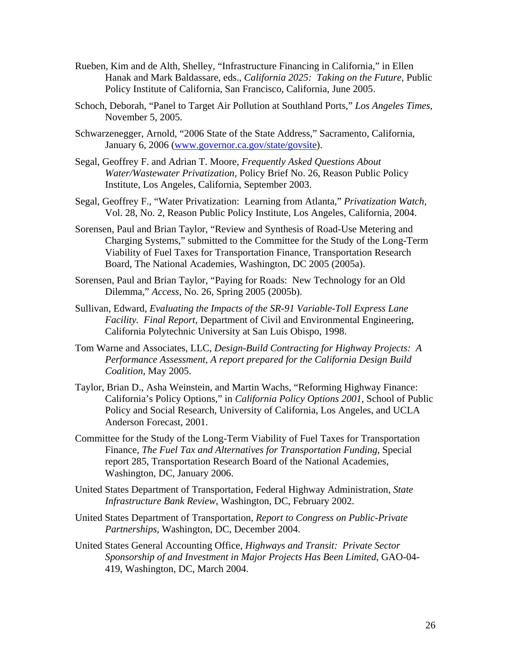- Rueben, Kim and de Alth, Shelley, "Infrastructure Financing in California," in Ellen Hanak and Mark Baldassare, eds., *California 2025: Taking on the Future*, Public Policy Institute of California, San Francisco, California, June 2005.
- Schoch, Deborah, "Panel to Target Air Pollution at Southland Ports," *Los Angeles Times*, November 5, 2005.
- Schwarzenegger, Arnold, "2006 State of the State Address," Sacramento, California, January 6, 2006 (www.governor.ca.gov/state/govsite).
- Segal, Geoffrey F. and Adrian T. Moore, *Frequently Asked Questions About Water/Wastewater Privatization*, Policy Brief No. 26, Reason Public Policy Institute, Los Angeles, California, September 2003.
- Segal, Geoffrey F., "Water Privatization: Learning from Atlanta," *Privatization Watch*, Vol. 28, No. 2, Reason Public Policy Institute, Los Angeles, California, 2004.
- Sorensen, Paul and Brian Taylor, "Review and Synthesis of Road-Use Metering and Charging Systems," submitted to the Committee for the Study of the Long-Term Viability of Fuel Taxes for Transportation Finance, Transportation Research Board, The National Academies, Washington, DC 2005 (2005a).
- Sorensen, Paul and Brian Taylor, "Paying for Roads: New Technology for an Old Dilemma," *Access*, No. 26, Spring 2005 (2005b).
- Sullivan, Edward, *Evaluating the Impacts of the SR-91 Variable-Toll Express Lane Facility. Final Report,* Department of Civil and Environmental Engineering, California Polytechnic University at San Luis Obispo, 1998.
- Tom Warne and Associates, LLC, *Design-Build Contracting for Highway Projects: A Performance Assessment, A report prepared for the California Design Build Coalition*, May 2005.
- Taylor, Brian D., Asha Weinstein, and Martin Wachs, "Reforming Highway Finance: California's Policy Options," in *California Policy Options 2001*, School of Public Policy and Social Research, University of California, Los Angeles, and UCLA Anderson Forecast, 2001.
- Committee for the Study of the Long-Term Viability of Fuel Taxes for Transportation Finance, *The Fuel Tax and Alternatives for Transportation Funding*, Special report 285, Transportation Research Board of the National Academies, Washington, DC, January 2006.
- United States Department of Transportation, Federal Highway Administration, *State Infrastructure Bank Review*, Washington, DC, February 2002.
- United States Department of Transportation, *Report to Congress on Public-Private Partnerships*, Washington, DC, December 2004.
- United States General Accounting Office, *Highways and Transit: Private Sector Sponsorship of and Investment in Major Projects Has Been Limited*, GAO-04- 419, Washington, DC, March 2004.